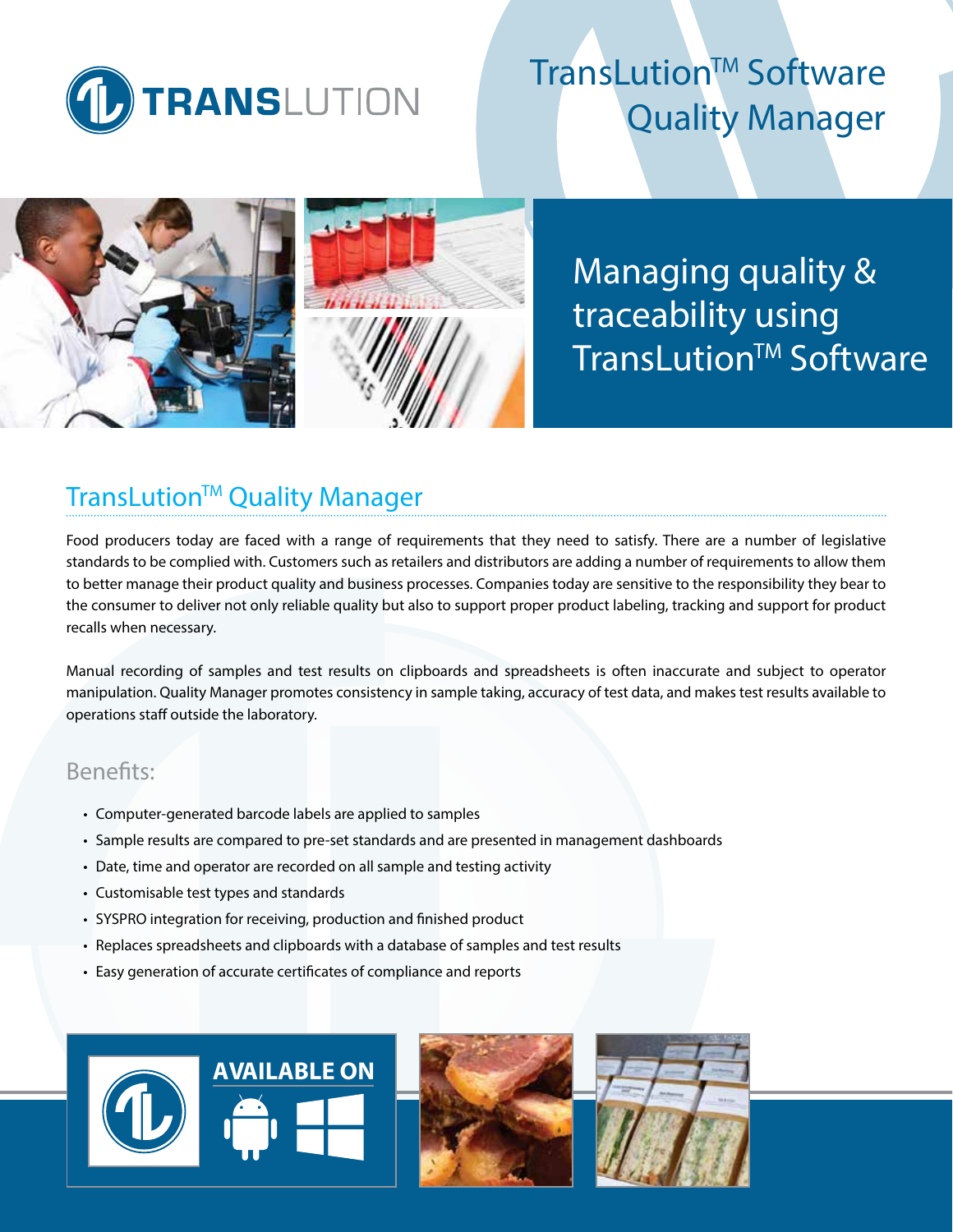

# TransLution™ Software Quality Manager



Managing quality & traceability using TransLution™ Software

# **TransLution<sup>™</sup> Quality Manager**

Food producers today are faced with a range of requirements that they need to satisfy. There are a number of legislative standards to be complied with. Customers such as retailers and distributors are adding a number of requirements to allow them to better manage their product quality and business processes. Companies today are sensitive to the responsibility they bear to the consumer to deliver not only reliable quality but also to support proper product labeling, tracking and support for product recalls when necessary.

Manual recording of samples and test results on clipboards and spreadsheets is often inaccurate and subject to operator manipulation. Quality Manager promotes consistency in sample taking, accuracy of test data, and makes test results available to operations staff outside the laboratory.

## Benefits:

- Computer-generated barcode labels are applied to samples
- Sample results are compared to pre-set standards and are presented in management dashboards
- Date, time and operator are recorded on all sample and testing activity
- Customisable test types and standards
- SYSPRO integration for receiving, production and finished product
- Replaces spreadsheets and clipboards with a database of samples and test results
- Easy generation of accurate certificates of compliance and reports

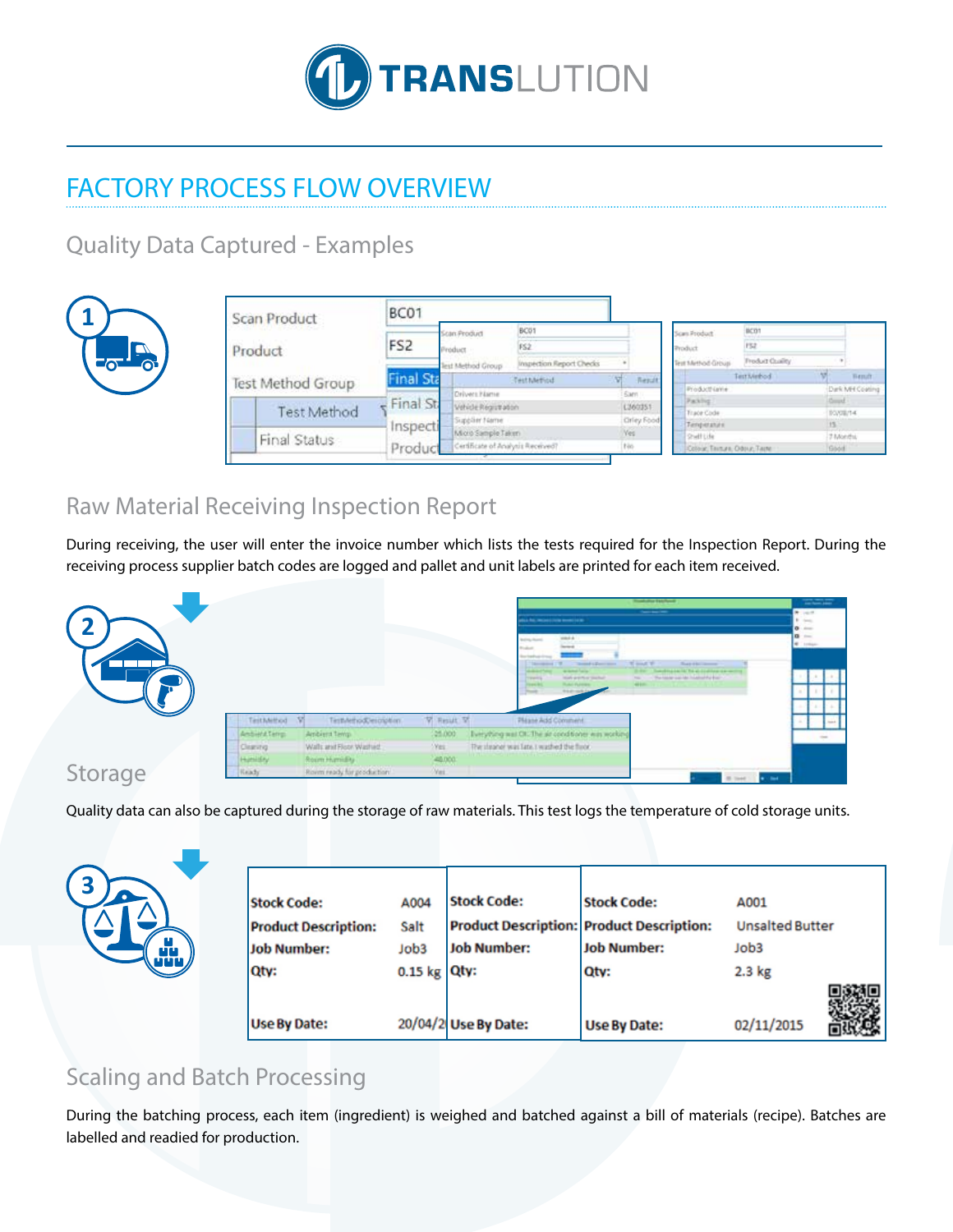

# FACTORY PROCESS FLOW OVERVIEW

Quality Data Captured - Examples



| Scan Product |                    | BC01                     |                                                             |                                   |                                                |                                       |                 |                   |                 |
|--------------|--------------------|--------------------------|-------------------------------------------------------------|-----------------------------------|------------------------------------------------|---------------------------------------|-----------------|-------------------|-----------------|
|              |                    |                          | Scan Product                                                | BCO1<br>FS2                       |                                                | BCOT<br>FSZ<br>Scan Product           |                 |                   |                 |
|              | Product            | FS <sub>2</sub>          | Product                                                     |                                   |                                                | Product                               |                 |                   |                 |
|              |                    |                          | Test Method Group                                           | Inspection Report Checks          |                                                | Test Method Group                     | Freduct Coulity |                   |                 |
|              | Test Method Group  | <b>Final Sta</b>         |                                                             | Test Method                       | <b>W</b><br>Repute                             |                                       | Terriviebod     |                   | Wenuft          |
|              |                    |                          | Drivers Name                                                |                                   | <b>Sam</b>                                     | Productivanne                         |                 |                   | Dark MH Costing |
|              | <b>Test Method</b> | $F$ Final St<br>Inspecti | Vehicle Registration<br>Supplier Name<br>Micro Sample Taken |                                   | L360351                                        | Packing<br>Trace Code                 |                 | Good<br>T0/08/14  |                 |
|              | Final Status       |                          |                                                             |                                   | Orley Food<br>Temperature<br>Ves<br>Shell Life |                                       |                 |                   |                 |
|              |                    |                          |                                                             |                                   |                                                |                                       |                 | $-15$<br>7 Months |                 |
|              |                    | Produc                   |                                                             | Certificate of Analysis Received? |                                                | No.<br>Colour, Texture, Odour, Techni |                 | Good              |                 |

# Raw Material Receiving Inspection Report

During receiving, the user will enter the invoice number which lists the tests required for the Inspection Report. During the receiving process supplier batch codes are logged and pallet and unit labels are printed for each item received.



Storage

Quality data can also be captured during the storage of raw materials. This test logs the temperature of cold storage units.

| ٠ |  |
|---|--|
|   |  |
|   |  |
|   |  |

| <b>Stock Code:</b>          | A004            | <b>Stock Code:</b>   | <b>Stock Code:</b>                               | A001                   |  |
|-----------------------------|-----------------|----------------------|--------------------------------------------------|------------------------|--|
| <b>Product Description:</b> | Salt            |                      | <b>Product Description: Product Description:</b> | <b>Unsalted Butter</b> |  |
| Job Number:                 | Job3            | <b>Job Number:</b>   | <b>Job Number:</b>                               | Job3                   |  |
| Qty:                        | 0.15 kg $Qty$ : |                      | Qty:                                             | 2.3 kg                 |  |
|                             |                 |                      |                                                  |                        |  |
| <b>Use By Date:</b>         |                 | 20/04/2 Use By Date: | <b>Use By Date:</b>                              | 02/11/2015             |  |

# Scaling and Batch Processing

During the batching process, each item (ingredient) is weighed and batched against a bill of materials (recipe). Batches are labelled and readied for production.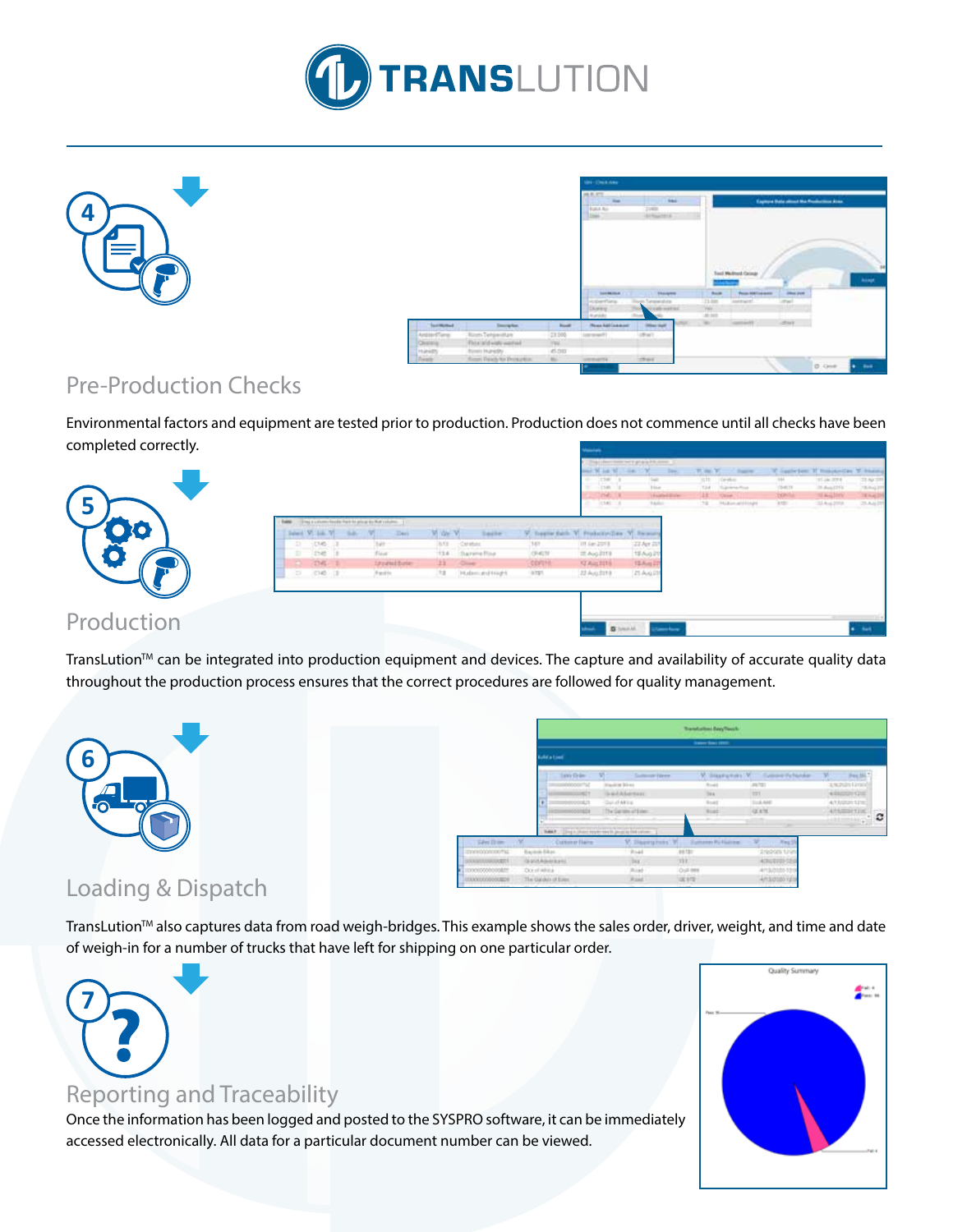



|                                          |                                                                    |                        | <b>IBN - (Once Aska)</b>                                   |                                                          |                                       |                                                                        |                             |                                                 |               |
|------------------------------------------|--------------------------------------------------------------------|------------------------|------------------------------------------------------------|----------------------------------------------------------|---------------------------------------|------------------------------------------------------------------------|-----------------------------|-------------------------------------------------|---------------|
|                                          |                                                                    |                        | 28.8.8%<br><b>Sheet</b><br><b>Build Riv</b><br><b>SHAK</b> | <b>Sec</b><br>21400<br>1915 Country Ltd.                 |                                       | せきま のうかいしょう                                                            |                             | <b>Express Universities the Frederike Assn.</b> |               |
|                                          |                                                                    |                        | <b>TAXABLE AVE</b>                                         | The County of Thursday                                   | <b>The Corporation</b><br><b>Buck</b> | <b>Manuel Points</b><br>Seat Medited Colour<br><b>Person AMERICANS</b> | <b><i>International</i></b> |                                                 | <b>Accept</b> |
|                                          |                                                                    |                        | Account Sans<br>During.<br>municipal                       | Num Senewater<br>and understand.<br>۰<br><b>COL</b><br>m | 11.00<br>TWH-<br>49.949               | <b>Information</b><br><b>TANK</b>                                      | of part                     |                                                 |               |
| <b>Classificate</b>                      | <b>Description</b>                                                 | <b>Book</b>            | <b>Hyan Millane</b>                                        | <b>LOTUS</b><br><b>Industrial</b>                        | <b>Sec.</b>                           | percent of                                                             | office.                     |                                                 |               |
| AnsteriTene<br><b>Channel</b><br>Humidto | Alcoh Tehjacolan<br>Finishal of wide want and<br>Points Inuredly . | 23,000<br>W.<br>45.000 | 120 month<br>$\sim$<br><b>TELEVISION</b>                   | chair.<br><b>ATT</b>                                     |                                       |                                                                        |                             |                                                 |               |
| <b>Daniel</b>                            | Soon Feeds to Proximity.                                           | March 1977             | <b>SERVICE</b>                                             | chas.                                                    |                                       |                                                                        |                             | <b>B.ONE</b>                                    | <b>B</b> 800  |

## Pre-Production Checks

Environmental factors and equipment are tested prior to production. Production does not commence until all checks have been completed correctly.

| $\sim$         |                                                                                                                         |                                                                      |                                                                                                               |                                    | class today not it give a Fill com-<br><b>CSW</b><br>140.<br><b>India</b><br><b>START</b> | 140<br><b>I like</b><br><b>Trusted Bales</b><br><b>Tarico</b>  | <b>WORK</b><br>in filt."<br>1 Carolina<br>.taal<br>To promotion<br>11.<br>Chief.<br>TO HARMANAMER | $13-41.75$<br><b>DO</b> M<br><b>Cardon</b> | 91.06.374<br><b>Di Aug (179)</b><br>"I higher."<br>314 pm | 23 Apr 23<br>19-842-01<br>14 Hunt 14<br>23.4412 |
|----------------|-------------------------------------------------------------------------------------------------------------------------|----------------------------------------------------------------------|---------------------------------------------------------------------------------------------------------------|------------------------------------|-------------------------------------------------------------------------------------------|----------------------------------------------------------------|---------------------------------------------------------------------------------------------------|--------------------------------------------|-----------------------------------------------------------|-------------------------------------------------|
| <b>TO</b><br>9 | They's a column has been been being to that column-<br>Select W. Like W<br>CHB-<br>DB1<br>$DB1$ 1<br>$(14)$ $1$<br>i Di | <b>Their</b><br>54<br>t á t<br>Fisier<br><b>Szydelbeie</b><br>Fedric | Vite Vi<br>laile<br>图(图)<br>Caratus:<br>$+1.6$ .<br>- Darwine Roa<br>95<br><b>Class</b><br>HubmurdHight<br>31 | 141<br>OHIN<br>corotel<br>$0.18\%$ | Fredericking<br>111 Apr 2010<br>III Aug 2119<br><b>STAILERS</b><br>22 Aug 2119            | - V Remote<br>23 Apr 70<br>18 Aug 21<br>15 Aug 21<br>21 Ayu 21 |                                                                                                   |                                            |                                                           |                                                 |
| Production     |                                                                                                                         |                                                                      |                                                                                                               |                                    | <b>B</b> heat of                                                                          | <b>Committee</b>                                               |                                                                                                   |                                            |                                                           | <b>Aut</b>                                      |

TransLution™ can be integrated into production equipment and devices. The capture and availability of accurate quality data throughout the production process ensures that the correct procedures are followed for quality management.



|                        |                                  |                   |                                            | Transfortuni Deey Timoth   |                                  |                                       |            |
|------------------------|----------------------------------|-------------------|--------------------------------------------|----------------------------|----------------------------------|---------------------------------------|------------|
|                        | <b><i><u>India Limit</u></i></b> |                   |                                            | <b>Same Security</b>       |                                  |                                       |            |
|                        |                                  | Taking Circles    | <b>Submar Dree</b>                         |                            | W. Blastichard V. Games Pelander | Fee Sh                                |            |
|                        |                                  | 0000000710<br>min | <b>Hauling Street</b><br><b>Sadaherson</b> | <b>Book</b><br><b>TELE</b> | <b>Janet</b><br>TEL              | amata (a col)<br>4/84/2011 GHE        |            |
|                        |                                  | osn               | Cui di skina.                              | <b>Road</b>                | 314, 640                         | 4/1MRR12HS                            |            |
|                        |                                  | <b>MODELS</b>     | The Service of Every<br><b>CONTRACTOR</b>  | <b>Birac</b> h<br>--       | GOLFAC.                          | ATABIETISC<br><b>Little Committee</b> | ٥<br>$+10$ |
|                        |                                  |                   |                                            |                            |                                  |                                       |            |
| See Die                | Colore Fair                      |                   | M. Slapery Heles, W                        | <b>Dumane RU Foatier</b>   | <b>The Page</b>                  |                                       |            |
| International Tab      | Equipment Editors                |                   | Trial.                                     | <b>BETEL</b>               | ENVIOUS SPOT                     |                                       |            |
| <b>JOURNALET</b>       | GALLABORATI,                     |                   | 148.7                                      | UL.                        | 434810155                        |                                       |            |
| TEOCOLOGICO ANNI       | Octobers.                        |                   | Risk!                                      | Oul INK                    | 4/13/31/30 12:0                  |                                       |            |
| IN ANY OR OTHER DESIGN | The Galakis of Emer              |                   | <b>Rise!</b>                               | <b>UESTE</b>               | ARSUSSO 1214                     |                                       |            |
|                        |                                  |                   |                                            |                            |                                  |                                       |            |

## Loading & Dispatch

TransLution<sup>™</sup> also captures data from road weigh-bridges. This example shows the sales order, driver, weight, and time and date of weigh-in for a number of trucks that have left for shipping on one particular order.



## Reporting and Traceability

Once the information has been logged and posted to the SYSPRO software, it can be immediately accessed electronically. All data for a particular document number can be viewed.